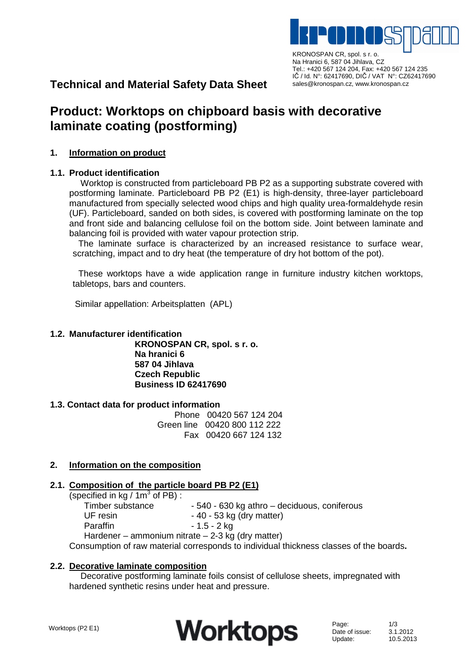

KRONOSPAN CR, spol. s r. o. Na Hranici 6, 587 04 Jihlava, CZ Tel.: +420 567 124 204, Fax: +420 567 124 235 IČ / Id. N°: 62417690, DIČ / VAT N°: CZ62417690 sales@kronospan.cz, www.kronospan.cz

# **Technical and Material Safety Data Sheet**

# **Product: Worktops on chipboard basis with decorative laminate coating (postforming)**

## **1. Information on product**

## **1.1. Product identification**

Worktop is constructed from particleboard PB P2 as a supporting substrate covered with postforming laminate. Particleboard PB P2 (E1) is high-density, three-layer particleboard manufactured from specially selected wood chips and high quality urea-formaldehyde resin (UF). Particleboard, sanded on both sides, is covered with postforming laminate on the top and front side and balancing cellulose foil on the bottom side. Joint between laminate and balancing foil is provided with water vapour protection strip.

The laminate surface is characterized by an increased resistance to surface wear, scratching, impact and to dry heat (the temperature of dry hot bottom of the pot).

These worktops have a wide application range in furniture industry kitchen worktops, tabletops, bars and counters.

Similar appellation: Arbeitsplatten (APL)

## **1.2. Manufacturer identification**

**KRONOSPAN CR, spol. s r. o. Na hranici 6 587 04 Jihlava Czech Republic Business ID 62417690** 

#### **1.3. Contact data for product information**

 Phone 00420 567 124 204 Green line 00420 800 112 222 Fax 00420 667 124 132

# **2. Information on the composition**

#### **2.1. Composition of the particle board PB P2 (E1)**

(specified in  $kg / 1m<sup>3</sup>$  of PB): Timber substance  $\frac{1}{2}$  - 540 - 630 kg athro – deciduous, coniferous UF resin - 40 - 53 kg (dry matter) Paraffin  $-1.5 - 2$  kg Hardener – ammonium nitrate – 2-3 kg (dry matter)

Consumption of raw material corresponds to individual thickness classes of the boards**.**

#### **2.2. Decorative laminate composition**

Decorative postforming laminate foils consist of cellulose sheets, impregnated with hardened synthetic resins under heat and pressure.

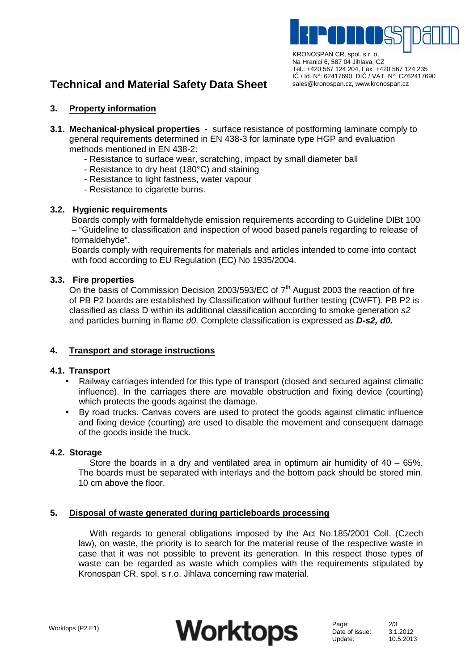

IČ / Id. N°: 62417690, DIČ / VAT N°: CZ62417690 sales@kronospan.cz, www.kronospan.cz

# **Technical and Material Safety Data Sheet**

## **3. Property information**

- **3.1. Mechanical-physical properties**  surface resistance of postforming laminate comply to general requirements determined in EN 438-3 for laminate type HGP and evaluation methods mentioned in EN 438-2:
	- Resistance to surface wear, scratching, impact by small diameter ball
	- Resistance to dry heat (180°C) and staining
	- Resistance to light fastness, water vapour
	- Resistance to cigarette burns.

#### **3.2. Hygienic requirements**

Boards comply with formaldehyde emission requirements according to Guideline DIBt 100 – "Guideline to classification and inspection of wood based panels regarding to release of formaldehyde".

Boards comply with requirements for materials and articles intended to come into contact with food according to EU Regulation (EC) No 1935/2004.

#### **3.3. Fire properties**

On the basis of Commission Decision 2003/593/EC of  $7<sup>th</sup>$  August 2003 the reaction of fire of PB P2 boards are established by Classification without further testing (CWFT). PB P2 is classified as class D within its additional classification according to smoke generation s2 and particles burning in flame d0. Complete classification is expressed as **D-s2, d0.** 

#### **4. Transport and storage instructions**

#### **4.1. Transport**

- Railway carriages intended for this type of transport (closed and secured against climatic influence). In the carriages there are movable obstruction and fixing device (courting) which protects the goods against the damage.
- By road trucks. Canvas covers are used to protect the goods against climatic influence and fixing device (courting) are used to disable the movement and consequent damage of the goods inside the truck.

#### **4.2. Storage**

Store the boards in a dry and ventilated area in optimum air humidity of 40 – 65%. The boards must be separated with interlays and the bottom pack should be stored min. 10 cm above the floor.

#### **5. Disposal of waste generated during particleboards processing**

With regards to general obligations imposed by the Act No.185/2001 Coll. (Czech law), on waste, the priority is to search for the material reuse of the respective waste in case that it was not possible to prevent its generation. In this respect those types of waste can be regarded as waste which complies with the requirements stipulated by Kronospan CR, spol. s r.o. Jihlava concerning raw material.